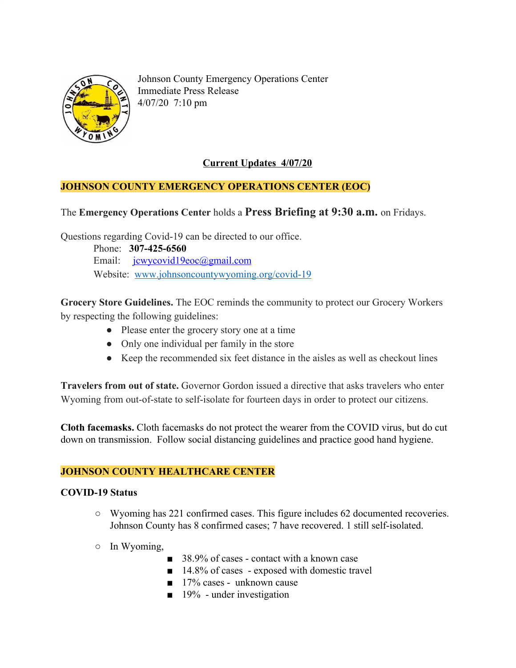

Johnson County Emergency Operations Center Immediate Press Release 4/07/20 7:10 pm

# **Current Updates 4/07/20**

## **JOHNSON COUNTY EMERGENCY OPERATIONS CENTER (EOC)**

## The **Emergency Operations Center** holds a **Press Briefing at 9:30 a.m.** on Fridays.

Questions regarding Covid-19 can be directed to our office.

 Phone: **307-425-6560** Email: [jcwycovid19eoc@gmail.com](mailto:jcwycovid19eoc@gmail.com) Website: [www.johnsoncountywyoming.org/covid-19](http://www.johnsoncountywyoming.org/covid-19)

**Grocery Store Guidelines.** The EOC reminds the community to protect our Grocery Workers by respecting the following guidelines:

- Please enter the grocery story one at a time
- Only one individual per family in the store
- Keep the recommended six feet distance in the aisles as well as checkout lines

**Travelers from out of state.** Governor Gordon issued a directive that asks travelers who enter Wyoming from out-of-state to self-isolate for fourteen days in order to protect our citizens.

**Cloth facemasks.** Cloth facemasks do not protect the wearer from the COVID virus, but do cut down on transmission. Follow social distancing guidelines and practice good hand hygiene.

## **JOHNSON COUNTY HEALTHCARE CENTER**

#### **COVID-19 Status**

- **○** Wyoming has 221 confirmed cases. This figure includes 62 documented recoveries. Johnson County has 8 confirmed cases; 7 have recovered. 1 still self-isolated.
- In Wyoming,
	- 38.9% of cases contact with a known case
	- 14.8% of cases exposed with domestic travel
	- 17% cases unknown cause
	- $\blacksquare$  19% under investigation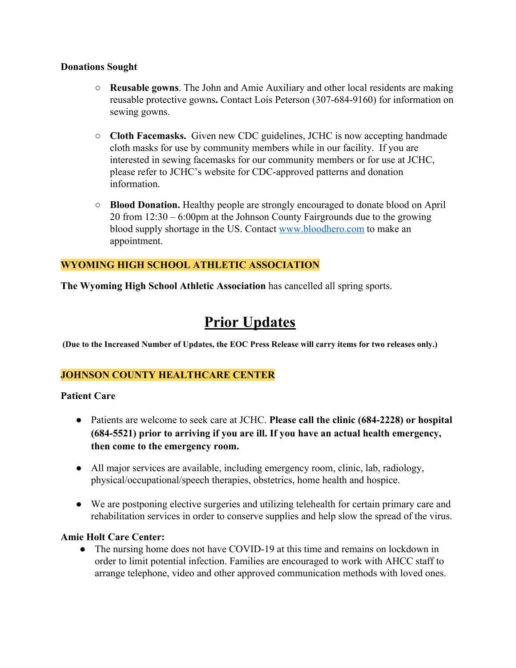### **Donations Sought**

- **○ Reusable gowns**. The John and Amie Auxiliary and other local residents are making reusable protective gowns**.** Contact Lois Peterson (307-684-9160) for information on sewing gowns.
- **○ Cloth Facemasks.** Given new CDC guidelines, JCHC is now accepting handmade cloth masks for use by community members while in our facility. If you are interested in sewing facemasks for our community members or for use at JCHC, please refer to JCHC's website for CDC-approved patterns and donation information.
- **○ Blood Donation.** Healthy people are strongly encouraged to donate blood on April 20 from 12:30 – 6:00pm at the Johnson County Fairgrounds due to the growing blood supply shortage in the US. Contact [www.bloodhero.com](http://www.bloodhero.com/) to make an appointment.

## **WYOMING HIGH SCHOOL ATHLETIC ASSOCIATION**

**The Wyoming High School Athletic Association** has cancelled all spring sports.

# **Prior Updates**

(Due to the Increased Number of Updates, the EOC Press Release will carry items for two releases only.)

# **JOHNSON COUNTY HEALTHCARE CENTER**

## **Patient Care**

- Patients are welcome to seek care at JCHC. **Please call the clinic (684-2228) or hospital (684-5521) prior to arriving if you are ill. If you have an actual health emergency, then come to the emergency room.**
- All major services are available, including emergency room, clinic, lab, radiology, physical/occupational/speech therapies, obstetrics, home health and hospice.
- We are postponing elective surgeries and utilizing telehealth for certain primary care and rehabilitation services in order to conserve supplies and help slow the spread of the virus.

## **Amie Holt Care Center:**

**●** The nursing home does not have COVID-19 at this time and remains on lockdown in order to limit potential infection. Families are encouraged to work with AHCC staff to arrange telephone, video and other approved communication methods with loved ones.